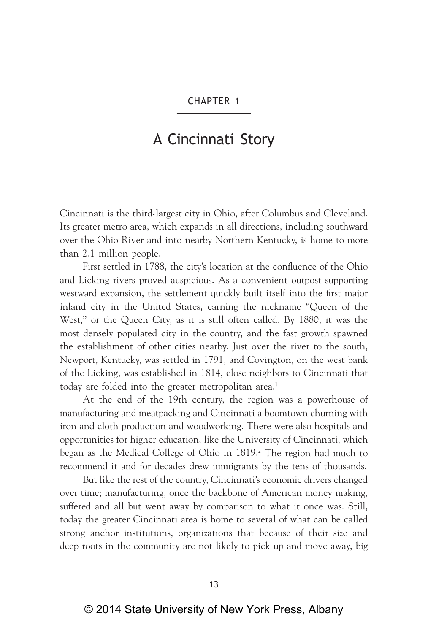#### CHAPTER 1

# A Cincinnati Story

Cincinnati is the third-largest city in Ohio, after Columbus and Cleveland. Its greater metro area, which expands in all directions, including southward over the Ohio River and into nearby Northern Kentucky, is home to more than 2.1 million people.

First settled in 1788, the city's location at the confluence of the Ohio and Licking rivers proved auspicious. As a convenient outpost supporting westward expansion, the settlement quickly built itself into the first major inland city in the United States, earning the nickname "Queen of the West," or the Queen City, as it is still often called. By 1880, it was the most densely populated city in the country, and the fast growth spawned the establishment of other cities nearby. Just over the river to the south, Newport, Kentucky, was settled in 1791, and Covington, on the west bank of the Licking, was established in 1814, close neighbors to Cincinnati that today are folded into the greater metropolitan area.<sup>1</sup>

At the end of the 19th century, the region was a powerhouse of manufacturing and meatpacking and Cincinnati a boomtown churning with iron and cloth production and woodworking. There were also hospitals and opportunities for higher education, like the University of Cincinnati, which began as the Medical College of Ohio in 1819.<sup>2</sup> The region had much to recommend it and for decades drew immigrants by the tens of thousands.

But like the rest of the country, Cincinnati's economic drivers changed over time; manufacturing, once the backbone of American money making, suffered and all but went away by comparison to what it once was. Still, today the greater Cincinnati area is home to several of what can be called strong anchor institutions, organizations that because of their size and deep roots in the community are not likely to pick up and move away, big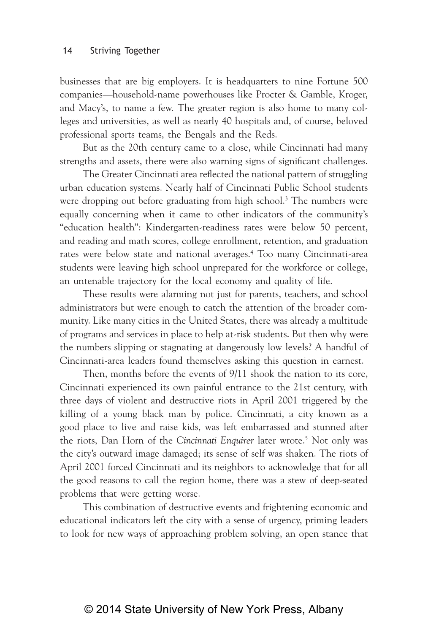businesses that are big employers. It is headquarters to nine Fortune 500 companies—household-name powerhouses like Procter & Gamble, Kroger, and Macy's, to name a few. The greater region is also home to many colleges and universities, as well as nearly 40 hospitals and, of course, beloved professional sports teams, the Bengals and the Reds.

But as the 20th century came to a close, while Cincinnati had many strengths and assets, there were also warning signs of significant challenges.

The Greater Cincinnati area reflected the national pattern of struggling urban education systems. Nearly half of Cincinnati Public School students were dropping out before graduating from high school.<sup>3</sup> The numbers were equally concerning when it came to other indicators of the community's "education health": Kindergarten-readiness rates were below 50 percent, and reading and math scores, college enrollment, retention, and graduation rates were below state and national averages.4 Too many Cincinnati-area students were leaving high school unprepared for the workforce or college, an untenable trajectory for the local economy and quality of life.

These results were alarming not just for parents, teachers, and school administrators but were enough to catch the attention of the broader community. Like many cities in the United States, there was already a multitude of programs and services in place to help at-risk students. But then why were the numbers slipping or stagnating at dangerously low levels? A handful of Cincinnati-area leaders found themselves asking this question in earnest.

Then, months before the events of 9/11 shook the nation to its core, Cincinnati experienced its own painful entrance to the 21st century, with three days of violent and destructive riots in April 2001 triggered by the killing of a young black man by police. Cincinnati, a city known as a good place to live and raise kids, was left embarrassed and stunned after the riots, Dan Horn of the *Cincinnati Enquirer* later wrote.5 Not only was the city's outward image damaged; its sense of self was shaken. The riots of April 2001 forced Cincinnati and its neighbors to acknowledge that for all the good reasons to call the region home, there was a stew of deep-seated problems that were getting worse.

This combination of destructive events and frightening economic and educational indicators left the city with a sense of urgency, priming leaders to look for new ways of approaching problem solving, an open stance that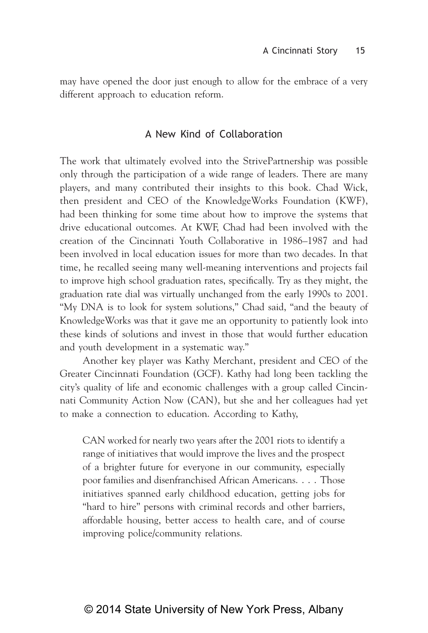may have opened the door just enough to allow for the embrace of a very different approach to education reform.

#### A New Kind of Collaboration

The work that ultimately evolved into the StrivePartnership was possible only through the participation of a wide range of leaders. There are many players, and many contributed their insights to this book. Chad Wick, then president and CEO of the KnowledgeWorks Foundation (KWF), had been thinking for some time about how to improve the systems that drive educational outcomes. At KWF, Chad had been involved with the creation of the Cincinnati Youth Collaborative in 1986–1987 and had been involved in local education issues for more than two decades. In that time, he recalled seeing many well-meaning interventions and projects fail to improve high school graduation rates, specifically. Try as they might, the graduation rate dial was virtually unchanged from the early 1990s to 2001. "My DNA is to look for system solutions," Chad said, "and the beauty of KnowledgeWorks was that it gave me an opportunity to patiently look into these kinds of solutions and invest in those that would further education and youth development in a systematic way."

Another key player was Kathy Merchant, president and CEO of the Greater Cincinnati Foundation (GCF). Kathy had long been tackling the city's quality of life and economic challenges with a group called Cincinnati Community Action Now (CAN), but she and her colleagues had yet to make a connection to education. According to Kathy,

CAN worked for nearly two years after the 2001 riots to identify a range of initiatives that would improve the lives and the prospect of a brighter future for everyone in our community, especially poor families and disenfranchised African Americans. . . . Those initiatives spanned early childhood education, getting jobs for "hard to hire" persons with criminal records and other barriers, affordable housing, better access to health care, and of course improving police/community relations.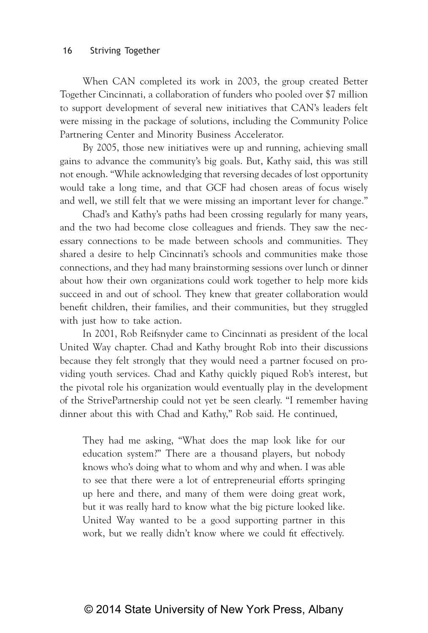When CAN completed its work in 2003, the group created Better Together Cincinnati, a collaboration of funders who pooled over \$7 million to support development of several new initiatives that CAN's leaders felt were missing in the package of solutions, including the Community Police Partnering Center and Minority Business Accelerator.

By 2005, those new initiatives were up and running, achieving small gains to advance the community's big goals. But, Kathy said, this was still not enough. "While acknowledging that reversing decades of lost opportunity would take a long time, and that GCF had chosen areas of focus wisely and well, we still felt that we were missing an important lever for change."

Chad's and Kathy's paths had been crossing regularly for many years, and the two had become close colleagues and friends. They saw the necessary connections to be made between schools and communities. They shared a desire to help Cincinnati's schools and communities make those connections, and they had many brainstorming sessions over lunch or dinner about how their own organizations could work together to help more kids succeed in and out of school. They knew that greater collaboration would benefit children, their families, and their communities, but they struggled with just how to take action.

In 2001, Rob Reifsnyder came to Cincinnati as president of the local United Way chapter. Chad and Kathy brought Rob into their discussions because they felt strongly that they would need a partner focused on providing youth services. Chad and Kathy quickly piqued Rob's interest, but the pivotal role his organization would eventually play in the development of the StrivePartnership could not yet be seen clearly. "I remember having dinner about this with Chad and Kathy," Rob said. He continued,

They had me asking, "What does the map look like for our education system?" There are a thousand players, but nobody knows who's doing what to whom and why and when. I was able to see that there were a lot of entrepreneurial efforts springing up here and there, and many of them were doing great work, but it was really hard to know what the big picture looked like. United Way wanted to be a good supporting partner in this work, but we really didn't know where we could fit effectively.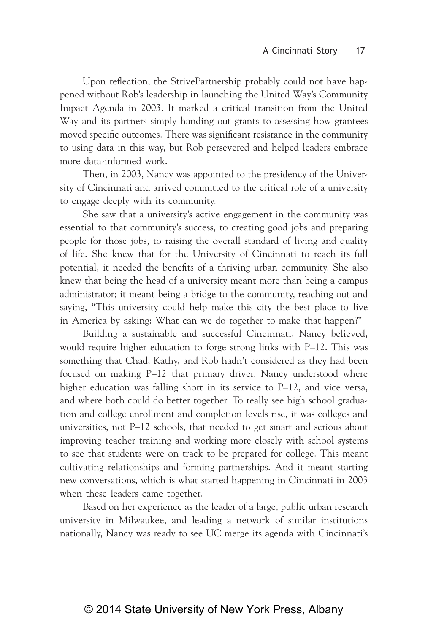Upon reflection, the StrivePartnership probably could not have happened without Rob's leadership in launching the United Way's Community Impact Agenda in 2003. It marked a critical transition from the United Way and its partners simply handing out grants to assessing how grantees moved specific outcomes. There was significant resistance in the community to using data in this way, but Rob persevered and helped leaders embrace more data-informed work.

Then, in 2003, Nancy was appointed to the presidency of the University of Cincinnati and arrived committed to the critical role of a university to engage deeply with its community.

She saw that a university's active engagement in the community was essential to that community's success, to creating good jobs and preparing people for those jobs, to raising the overall standard of living and quality of life. She knew that for the University of Cincinnati to reach its full potential, it needed the benefits of a thriving urban community. She also knew that being the head of a university meant more than being a campus administrator; it meant being a bridge to the community, reaching out and saying, "This university could help make this city the best place to live in America by asking: What can we do together to make that happen?"

Building a sustainable and successful Cincinnati, Nancy believed, would require higher education to forge strong links with P–12. This was something that Chad, Kathy, and Rob hadn't considered as they had been focused on making P–12 that primary driver. Nancy understood where higher education was falling short in its service to P–12, and vice versa, and where both could do better together. To really see high school graduation and college enrollment and completion levels rise, it was colleges and universities, not P–12 schools, that needed to get smart and serious about improving teacher training and working more closely with school systems to see that students were on track to be prepared for college. This meant cultivating relationships and forming partnerships. And it meant starting new conversations, which is what started happening in Cincinnati in 2003 when these leaders came together.

Based on her experience as the leader of a large, public urban research university in Milwaukee, and leading a network of similar institutions nationally, Nancy was ready to see UC merge its agenda with Cincinnati's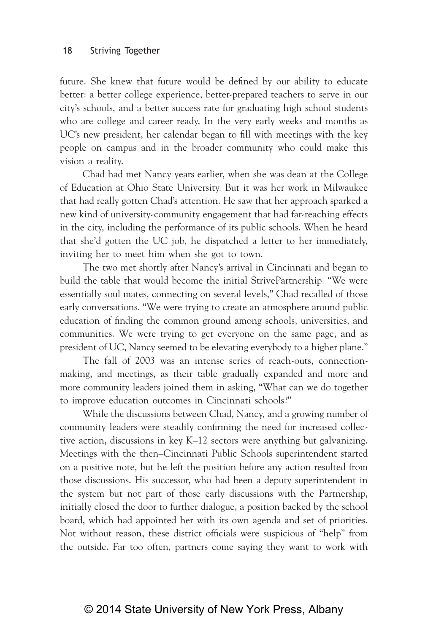future. She knew that future would be defined by our ability to educate better: a better college experience, better-prepared teachers to serve in our city's schools, and a better success rate for graduating high school students who are college and career ready. In the very early weeks and months as UC's new president, her calendar began to fill with meetings with the key people on campus and in the broader community who could make this vision a reality.

Chad had met Nancy years earlier, when she was dean at the College of Education at Ohio State University. But it was her work in Milwaukee that had really gotten Chad's attention. He saw that her approach sparked a new kind of university-community engagement that had far-reaching effects in the city, including the performance of its public schools. When he heard that she'd gotten the UC job, he dispatched a letter to her immediately, inviting her to meet him when she got to town.

The two met shortly after Nancy's arrival in Cincinnati and began to build the table that would become the initial StrivePartnership. "We were essentially soul mates, connecting on several levels," Chad recalled of those early conversations. "We were trying to create an atmosphere around public education of finding the common ground among schools, universities, and communities. We were trying to get everyone on the same page, and as president of UC, Nancy seemed to be elevating everybody to a higher plane."

The fall of 2003 was an intense series of reach-outs, connectionmaking, and meetings, as their table gradually expanded and more and more community leaders joined them in asking, "What can we do together to improve education outcomes in Cincinnati schools?"

While the discussions between Chad, Nancy, and a growing number of community leaders were steadily confirming the need for increased collective action, discussions in key K–12 sectors were anything but galvanizing. Meetings with the then–Cincinnati Public Schools superintendent started on a positive note, but he left the position before any action resulted from those discussions. His successor, who had been a deputy superintendent in the system but not part of those early discussions with the Partnership, initially closed the door to further dialogue, a position backed by the school board, which had appointed her with its own agenda and set of priorities. Not without reason, these district officials were suspicious of "help" from the outside. Far too often, partners come saying they want to work with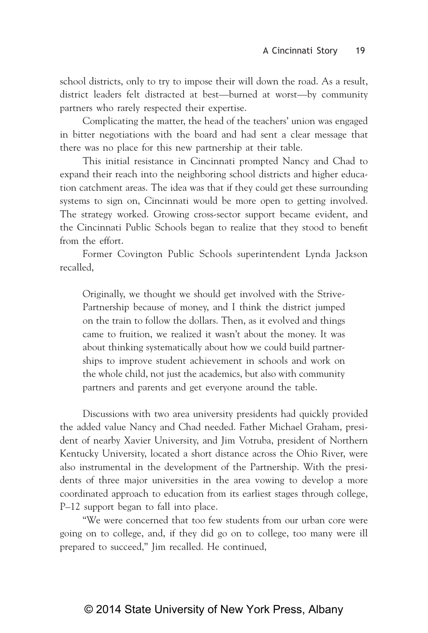school districts, only to try to impose their will down the road. As a result, district leaders felt distracted at best—burned at worst—by community partners who rarely respected their expertise.

Complicating the matter, the head of the teachers' union was engaged in bitter negotiations with the board and had sent a clear message that there was no place for this new partnership at their table.

This initial resistance in Cincinnati prompted Nancy and Chad to expand their reach into the neighboring school districts and higher education catchment areas. The idea was that if they could get these surrounding systems to sign on, Cincinnati would be more open to getting involved. The strategy worked. Growing cross-sector support became evident, and the Cincinnati Public Schools began to realize that they stood to benefit from the effort.

Former Covington Public Schools superintendent Lynda Jackson recalled,

Originally, we thought we should get involved with the Strive-Partnership because of money, and I think the district jumped on the train to follow the dollars. Then, as it evolved and things came to fruition, we realized it wasn't about the money. It was about thinking systematically about how we could build partnerships to improve student achievement in schools and work on the whole child, not just the academics, but also with community partners and parents and get everyone around the table.

Discussions with two area university presidents had quickly provided the added value Nancy and Chad needed. Father Michael Graham, president of nearby Xavier University, and Jim Votruba, president of Northern Kentucky University, located a short distance across the Ohio River, were also instrumental in the development of the Partnership. With the presidents of three major universities in the area vowing to develop a more coordinated approach to education from its earliest stages through college, P–12 support began to fall into place.

"We were concerned that too few students from our urban core were going on to college, and, if they did go on to college, too many were ill prepared to succeed," Jim recalled. He continued,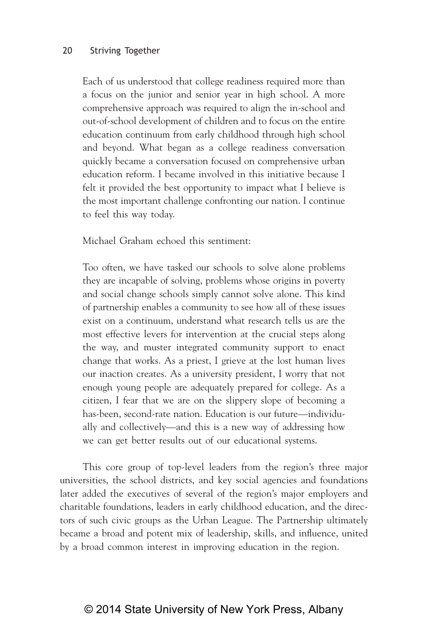#### 20 Striving Together

Each of us understood that college readiness required more than a focus on the junior and senior year in high school. A more comprehensive approach was required to align the in-school and out-of-school development of children and to focus on the entire education continuum from early childhood through high school and beyond. What began as a college readiness conversation quickly became a conversation focused on comprehensive urban education reform. I became involved in this initiative because I felt it provided the best opportunity to impact what I believe is the most important challenge confronting our nation. I continue to feel this way today.

Michael Graham echoed this sentiment:

Too often, we have tasked our schools to solve alone problems they are incapable of solving, problems whose origins in poverty and social change schools simply cannot solve alone. This kind of partnership enables a community to see how all of these issues exist on a continuum, understand what research tells us are the most effective levers for intervention at the crucial steps along the way, and muster integrated community support to enact change that works. As a priest, I grieve at the lost human lives our inaction creates. As a university president, I worry that not enough young people are adequately prepared for college. As a citizen, I fear that we are on the slippery slope of becoming a has-been, second-rate nation. Education is our future—individually and collectively—and this is a new way of addressing how we can get better results out of our educational systems.

This core group of top-level leaders from the region's three major universities, the school districts, and key social agencies and foundations later added the executives of several of the region's major employers and charitable foundations, leaders in early childhood education, and the directors of such civic groups as the Urban League. The Partnership ultimately became a broad and potent mix of leadership, skills, and influence, united by a broad common interest in improving education in the region.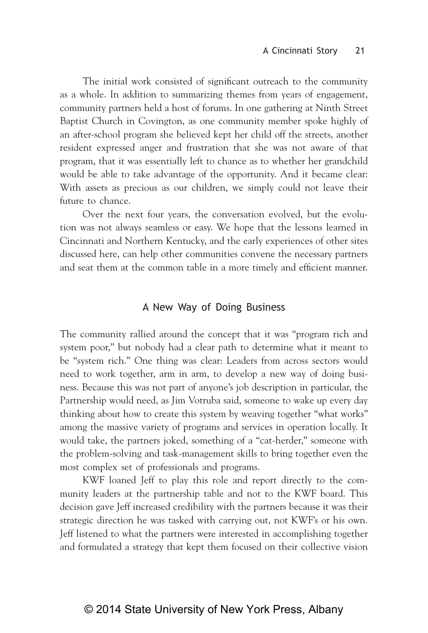The initial work consisted of significant outreach to the community as a whole. In addition to summarizing themes from years of engagement, community partners held a host of forums. In one gathering at Ninth Street Baptist Church in Covington, as one community member spoke highly of an after-school program she believed kept her child off the streets, another resident expressed anger and frustration that she was not aware of that program, that it was essentially left to chance as to whether her grandchild would be able to take advantage of the opportunity. And it became clear: With assets as precious as our children, we simply could not leave their future to chance.

Over the next four years, the conversation evolved, but the evolution was not always seamless or easy. We hope that the lessons learned in Cincinnati and Northern Kentucky, and the early experiences of other sites discussed here, can help other communities convene the necessary partners and seat them at the common table in a more timely and efficient manner.

#### A New Way of Doing Business

The community rallied around the concept that it was "program rich and system poor," but nobody had a clear path to determine what it meant to be "system rich." One thing was clear: Leaders from across sectors would need to work together, arm in arm, to develop a new way of doing business. Because this was not part of anyone's job description in particular, the Partnership would need, as Jim Votruba said, someone to wake up every day thinking about how to create this system by weaving together "what works" among the massive variety of programs and services in operation locally. It would take, the partners joked, something of a "cat-herder," someone with the problem-solving and task-management skills to bring together even the most complex set of professionals and programs.

KWF loaned Jeff to play this role and report directly to the community leaders at the partnership table and not to the KWF board. This decision gave Jeff increased credibility with the partners because it was their strategic direction he was tasked with carrying out, not KWF's or his own. Jeff listened to what the partners were interested in accomplishing together and formulated a strategy that kept them focused on their collective vision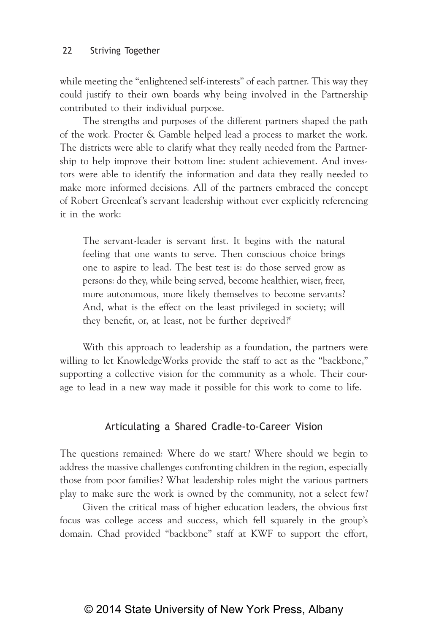#### 22 Striving Together

while meeting the "enlightened self-interests" of each partner. This way they could justify to their own boards why being involved in the Partnership contributed to their individual purpose.

The strengths and purposes of the different partners shaped the path of the work. Procter & Gamble helped lead a process to market the work. The districts were able to clarify what they really needed from the Partnership to help improve their bottom line: student achievement. And investors were able to identify the information and data they really needed to make more informed decisions. All of the partners embraced the concept of Robert Greenleaf's servant leadership without ever explicitly referencing it in the work:

The servant-leader is servant first. It begins with the natural feeling that one wants to serve. Then conscious choice brings one to aspire to lead. The best test is: do those served grow as persons: do they, while being served, become healthier, wiser, freer, more autonomous, more likely themselves to become servants? And, what is the effect on the least privileged in society; will they benefit, or, at least, not be further deprived?<sup>6</sup>

With this approach to leadership as a foundation, the partners were willing to let KnowledgeWorks provide the staff to act as the "backbone," supporting a collective vision for the community as a whole. Their courage to lead in a new way made it possible for this work to come to life.

#### Articulating a Shared Cradle-to-Career Vision

The questions remained: Where do we start? Where should we begin to address the massive challenges confronting children in the region, especially those from poor families? What leadership roles might the various partners play to make sure the work is owned by the community, not a select few?

Given the critical mass of higher education leaders, the obvious first focus was college access and success, which fell squarely in the group's domain. Chad provided "backbone" staff at KWF to support the effort,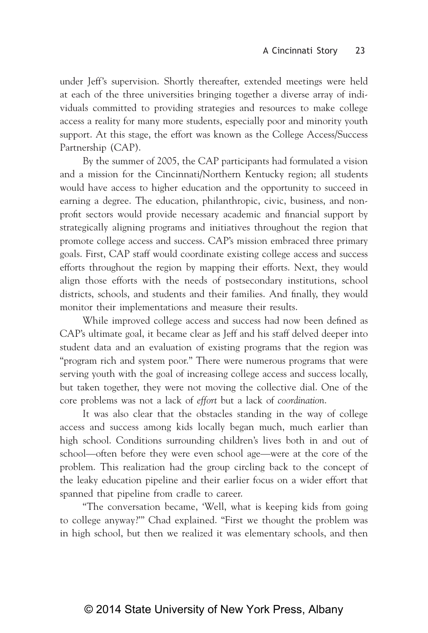under Jeff's supervision. Shortly thereafter, extended meetings were held at each of the three universities bringing together a diverse array of individuals committed to providing strategies and resources to make college access a reality for many more students, especially poor and minority youth support. At this stage, the effort was known as the College Access/Success Partnership (CAP).

By the summer of 2005, the CAP participants had formulated a vision and a mission for the Cincinnati/Northern Kentucky region; all students would have access to higher education and the opportunity to succeed in earning a degree. The education, philanthropic, civic, business, and nonprofit sectors would provide necessary academic and financial support by strategically aligning programs and initiatives throughout the region that promote college access and success. CAP's mission embraced three primary goals. First, CAP staff would coordinate existing college access and success efforts throughout the region by mapping their efforts. Next, they would align those efforts with the needs of postsecondary institutions, school districts, schools, and students and their families. And finally, they would monitor their implementations and measure their results.

While improved college access and success had now been defined as CAP's ultimate goal, it became clear as Jeff and his staff delved deeper into student data and an evaluation of existing programs that the region was "program rich and system poor." There were numerous programs that were serving youth with the goal of increasing college access and success locally, but taken together, they were not moving the collective dial. One of the core problems was not a lack of *effort* but a lack of *coordination*.

It was also clear that the obstacles standing in the way of college access and success among kids locally began much, much earlier than high school. Conditions surrounding children's lives both in and out of school—often before they were even school age—were at the core of the problem. This realization had the group circling back to the concept of the leaky education pipeline and their earlier focus on a wider effort that spanned that pipeline from cradle to career.

"The conversation became, 'Well, what is keeping kids from going to college anyway?'" Chad explained. "First we thought the problem was in high school, but then we realized it was elementary schools, and then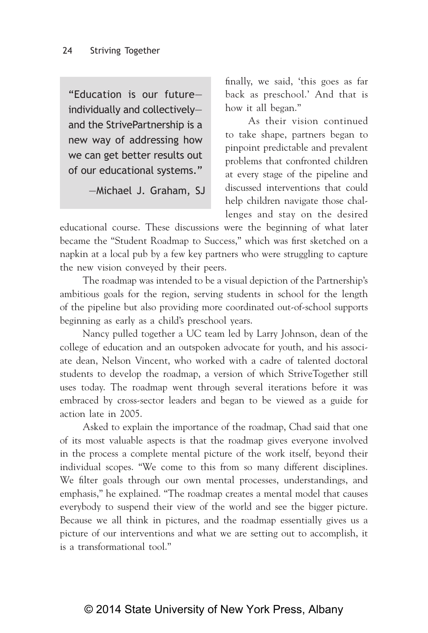"Education is our future individually and collectively and the StrivePartnership is a new way of addressing how we can get better results out of our educational systems."

—Michael J. Graham, SJ

finally, we said, 'this goes as far back as preschool.' And that is how it all began."

As their vision continued to take shape, partners began to pinpoint predictable and prevalent problems that confronted children at every stage of the pipeline and discussed interventions that could help children navigate those challenges and stay on the desired

educational course. These discussions were the beginning of what later became the "Student Roadmap to Success," which was first sketched on a napkin at a local pub by a few key partners who were struggling to capture the new vision conveyed by their peers.

The roadmap was intended to be a visual depiction of the Partnership's ambitious goals for the region, serving students in school for the length of the pipeline but also providing more coordinated out-of-school supports beginning as early as a child's preschool years.

Nancy pulled together a UC team led by Larry Johnson, dean of the college of education and an outspoken advocate for youth, and his associate dean, Nelson Vincent, who worked with a cadre of talented doctoral students to develop the roadmap, a version of which StriveTogether still uses today. The roadmap went through several iterations before it was embraced by cross-sector leaders and began to be viewed as a guide for action late in 2005.

Asked to explain the importance of the roadmap, Chad said that one of its most valuable aspects is that the roadmap gives everyone involved in the process a complete mental picture of the work itself, beyond their individual scopes. "We come to this from so many different disciplines. We filter goals through our own mental processes, understandings, and emphasis," he explained. "The roadmap creates a mental model that causes everybody to suspend their view of the world and see the bigger picture. Because we all think in pictures, and the roadmap essentially gives us a picture of our interventions and what we are setting out to accomplish, it is a transformational tool."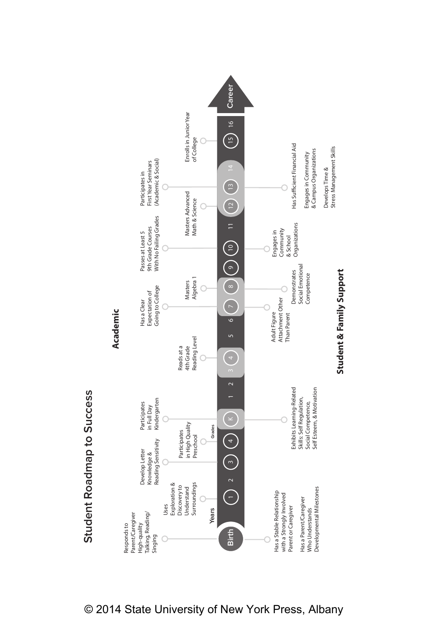

# Student Roadmap to Success **Student Roadmap to Success**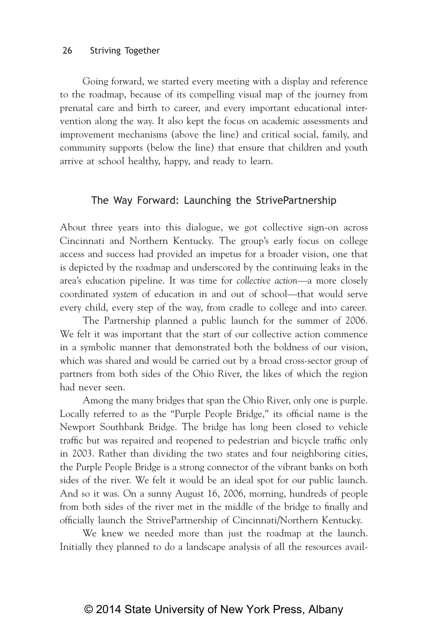#### 26 Striving Together

Going forward, we started every meeting with a display and reference to the roadmap, because of its compelling visual map of the journey from prenatal care and birth to career, and every important educational intervention along the way. It also kept the focus on academic assessments and improvement mechanisms (above the line) and critical social, family, and community supports (below the line) that ensure that children and youth arrive at school healthy, happy, and ready to learn.

#### The Way Forward: Launching the StrivePartnership

About three years into this dialogue, we got collective sign-on across Cincinnati and Northern Kentucky. The group's early focus on college access and success had provided an impetus for a broader vision, one that is depicted by the roadmap and underscored by the continuing leaks in the area's education pipeline. It was time for *collective action*—a more closely coordinated *system* of education in and out of school—that would serve every child, every step of the way, from cradle to college and into career.

The Partnership planned a public launch for the summer of 2006. We felt it was important that the start of our collective action commence in a symbolic manner that demonstrated both the boldness of our vision, which was shared and would be carried out by a broad cross-sector group of partners from both sides of the Ohio River, the likes of which the region had never seen.

Among the many bridges that span the Ohio River, only one is purple. Locally referred to as the "Purple People Bridge," its official name is the Newport Southbank Bridge. The bridge has long been closed to vehicle traffic but was repaired and reopened to pedestrian and bicycle traffic only in 2003. Rather than dividing the two states and four neighboring cities, the Purple People Bridge is a strong connector of the vibrant banks on both sides of the river. We felt it would be an ideal spot for our public launch. And so it was. On a sunny August 16, 2006, morning, hundreds of people from both sides of the river met in the middle of the bridge to finally and officially launch the StrivePartnership of Cincinnati/Northern Kentucky.

We knew we needed more than just the roadmap at the launch. Initially they planned to do a landscape analysis of all the resources avail-

## © 2014 State University of New York Press, Albany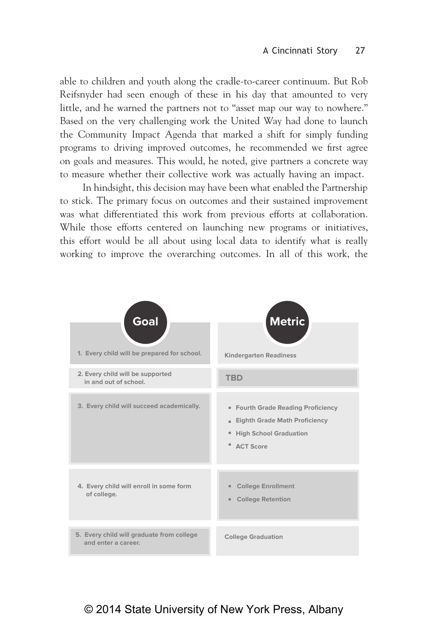able to children and youth along the cradle-to-career continuum. But Rob Reifsnyder had seen enough of these in his day that amounted to very little, and he warned the partners not to "asset map our way to nowhere." Based on the very challenging work the United Way had done to launch the Community Impact Agenda that marked a shift for simply funding programs to driving improved outcomes, he recommended we first agree on goals and measures. This would, he noted, give partners a concrete way to measure whether their collective work was actually having an impact.

In hindsight, this decision may have been what enabled the Partnership to stick. The primary focus on outcomes and their sustained improvement was what differentiated this work from previous efforts at collaboration. While those efforts centered on launching new programs or initiatives, this effort would be all about using local data to identify what is really working to improve the overarching outcomes. In all of this work, the

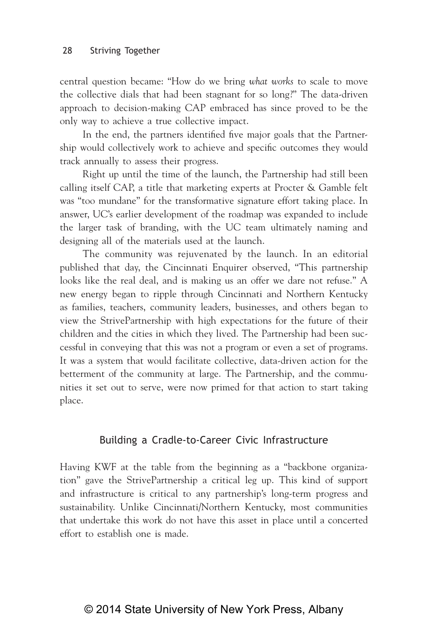central question became: "How do we bring *what works* to scale to move the collective dials that had been stagnant for so long?" The data-driven approach to decision-making CAP embraced has since proved to be the only way to achieve a true collective impact.

In the end, the partners identified five major goals that the Partnership would collectively work to achieve and specific outcomes they would track annually to assess their progress.

Right up until the time of the launch, the Partnership had still been calling itself CAP, a title that marketing experts at Procter & Gamble felt was "too mundane" for the transformative signature effort taking place. In answer, UC's earlier development of the roadmap was expanded to include the larger task of branding, with the UC team ultimately naming and designing all of the materials used at the launch.

The community was rejuvenated by the launch. In an editorial published that day, the Cincinnati Enquirer observed, "This partnership looks like the real deal, and is making us an offer we dare not refuse." A new energy began to ripple through Cincinnati and Northern Kentucky as families, teachers, community leaders, businesses, and others began to view the StrivePartnership with high expectations for the future of their children and the cities in which they lived. The Partnership had been successful in conveying that this was not a program or even a set of programs. It was a system that would facilitate collective, data-driven action for the betterment of the community at large. The Partnership, and the communities it set out to serve, were now primed for that action to start taking place.

#### Building a Cradle-to-Career Civic Infrastructure

Having KWF at the table from the beginning as a "backbone organization" gave the StrivePartnership a critical leg up. This kind of support and infrastructure is critical to any partnership's long-term progress and sustainability. Unlike Cincinnati/Northern Kentucky, most communities that undertake this work do not have this asset in place until a concerted effort to establish one is made.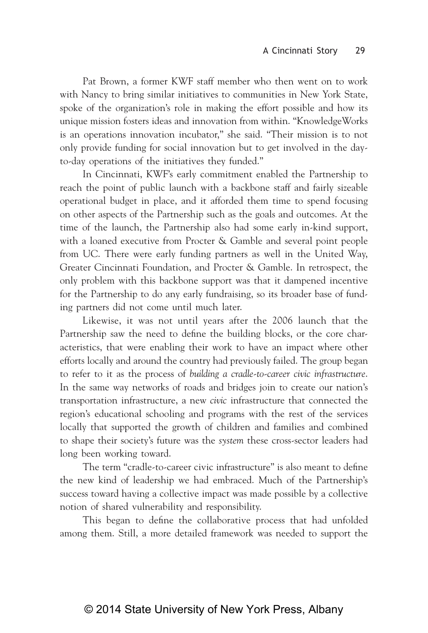Pat Brown, a former KWF staff member who then went on to work with Nancy to bring similar initiatives to communities in New York State, spoke of the organization's role in making the effort possible and how its unique mission fosters ideas and innovation from within. "KnowledgeWorks is an operations innovation incubator," she said. "Their mission is to not only provide funding for social innovation but to get involved in the dayto-day operations of the initiatives they funded."

In Cincinnati, KWF's early commitment enabled the Partnership to reach the point of public launch with a backbone staff and fairly sizeable operational budget in place, and it afforded them time to spend focusing on other aspects of the Partnership such as the goals and outcomes. At the time of the launch, the Partnership also had some early in-kind support, with a loaned executive from Procter & Gamble and several point people from UC. There were early funding partners as well in the United Way, Greater Cincinnati Foundation, and Procter & Gamble. In retrospect, the only problem with this backbone support was that it dampened incentive for the Partnership to do any early fundraising, so its broader base of funding partners did not come until much later.

Likewise, it was not until years after the 2006 launch that the Partnership saw the need to define the building blocks, or the core characteristics, that were enabling their work to have an impact where other efforts locally and around the country had previously failed. The group began to refer to it as the process of *building a cradle-to-career civic infrastructure*. In the same way networks of roads and bridges join to create our nation's transportation infrastructure, a new *civic* infrastructure that connected the region's educational schooling and programs with the rest of the services locally that supported the growth of children and families and combined to shape their society's future was the *system* these cross-sector leaders had long been working toward.

The term "cradle-to-career civic infrastructure" is also meant to define the new kind of leadership we had embraced. Much of the Partnership's success toward having a collective impact was made possible by a collective notion of shared vulnerability and responsibility.

This began to define the collaborative process that had unfolded among them. Still, a more detailed framework was needed to support the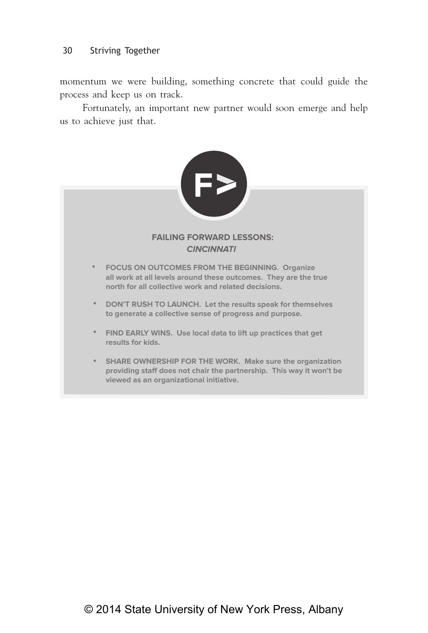momentum we were building, something concrete that could guide the process and keep us on track.

Fortunately, an important new partner would soon emerge and help us to achieve just that.

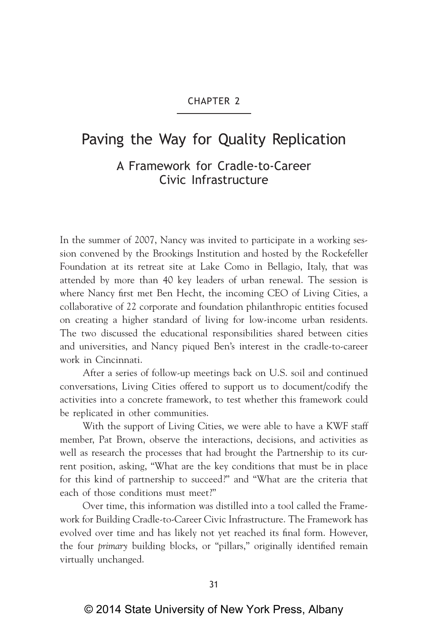#### CHAPTER 2

# Paving the Way for Quality Replication

# A Framework for Cradle-to-Career Civic Infrastructure

In the summer of 2007, Nancy was invited to participate in a working session convened by the Brookings Institution and hosted by the Rockefeller Foundation at its retreat site at Lake Como in Bellagio, Italy, that was attended by more than 40 key leaders of urban renewal. The session is where Nancy first met Ben Hecht, the incoming CEO of Living Cities, a collaborative of 22 corporate and foundation philanthropic entities focused on creating a higher standard of living for low-income urban residents. The two discussed the educational responsibilities shared between cities and universities, and Nancy piqued Ben's interest in the cradle-to-career work in Cincinnati.

After a series of follow-up meetings back on U.S. soil and continued conversations, Living Cities offered to support us to document/codify the activities into a concrete framework, to test whether this framework could be replicated in other communities.

With the support of Living Cities, we were able to have a KWF staff member, Pat Brown, observe the interactions, decisions, and activities as well as research the processes that had brought the Partnership to its current position, asking, "What are the key conditions that must be in place for this kind of partnership to succeed?" and "What are the criteria that each of those conditions must meet?"

Over time, this information was distilled into a tool called the Framework for Building Cradle-to-Career Civic Infrastructure. The Framework has evolved over time and has likely not yet reached its final form. However, the four *primary* building blocks, or "pillars," originally identified remain virtually unchanged.